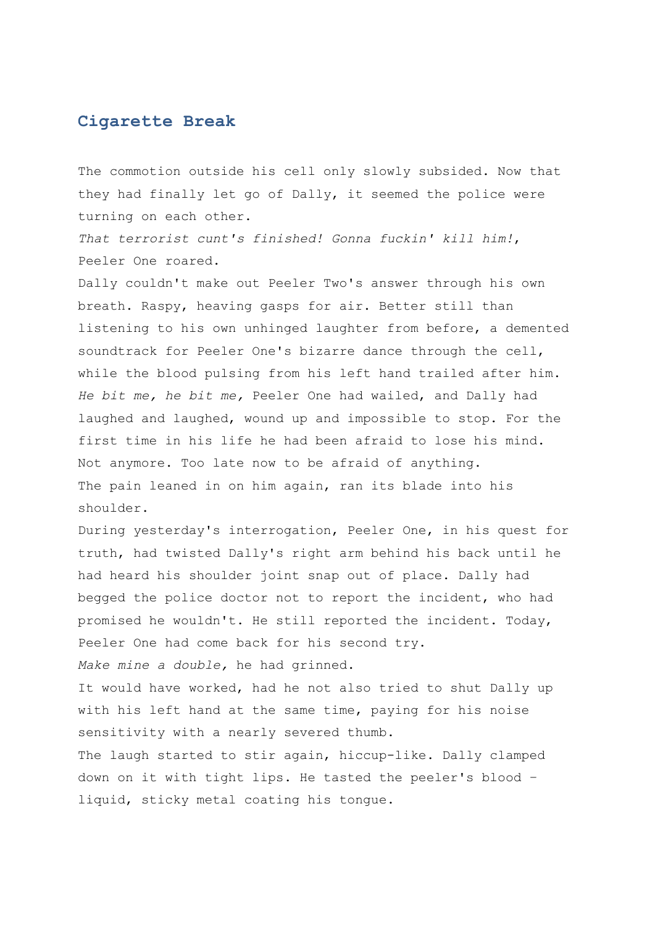## **Cigarette Break**

The commotion outside his cell only slowly subsided. Now that they had finally let go of Dally, it seemed the police were turning on each other.

*That terrorist cunt's finished! Gonna fuckin' kill him!*, Peeler One roared.

Dally couldn't make out Peeler Two's answer through his own breath. Raspy, heaving gasps for air. Better still than listening to his own unhinged laughter from before, a demented soundtrack for Peeler One's bizarre dance through the cell, while the blood pulsing from his left hand trailed after him. *He bit me, he bit me,* Peeler One had wailed, and Dally had laughed and laughed, wound up and impossible to stop. For the first time in his life he had been afraid to lose his mind. Not anymore. Too late now to be afraid of anything. The pain leaned in on him again, ran its blade into his shoulder.

During yesterday's interrogation, Peeler One, in his quest for truth, had twisted Dally's right arm behind his back until he had heard his shoulder joint snap out of place. Dally had begged the police doctor not to report the incident, who had promised he wouldn't. He still reported the incident. Today, Peeler One had come back for his second try.

*Make mine a double,* he had grinned.

It would have worked, had he not also tried to shut Dally up with his left hand at the same time, paying for his noise sensitivity with a nearly severed thumb.

The laugh started to stir again, hiccup-like. Dally clamped down on it with tight lips. He tasted the peeler's blood – liquid, sticky metal coating his tongue.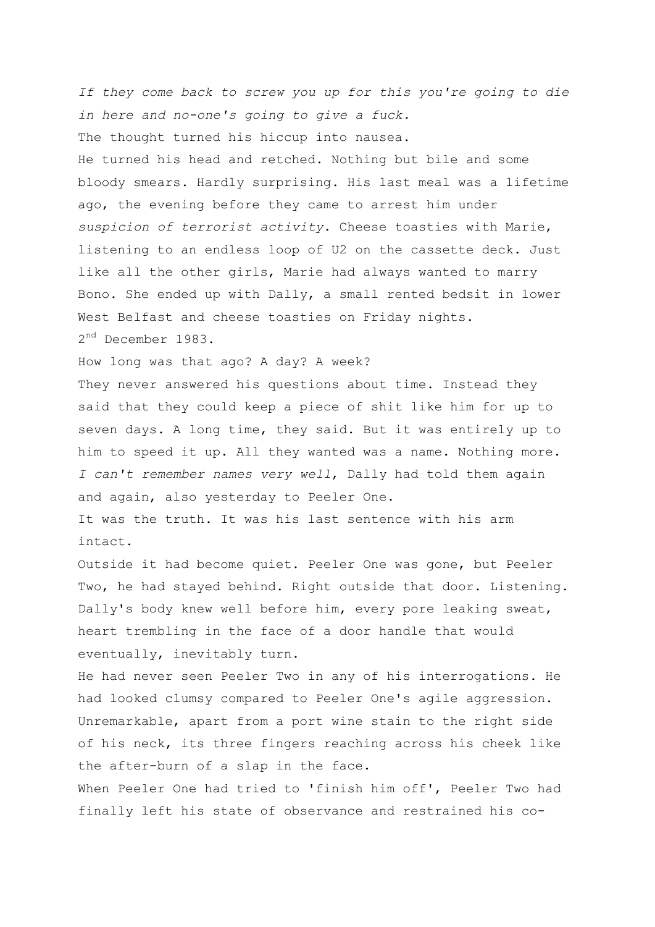*If they come back to screw you up for this you're going to die in here and no-one's going to give a fuck.* The thought turned his hiccup into nausea. He turned his head and retched. Nothing but bile and some bloody smears. Hardly surprising. His last meal was a lifetime ago, the evening before they came to arrest him under *suspicion of terrorist activity*. Cheese toasties with Marie, listening to an endless loop of U2 on the cassette deck. Just like all the other girls, Marie had always wanted to marry Bono. She ended up with Dally, a small rented bedsit in lower West Belfast and cheese toasties on Friday nights. 2<sup>nd</sup> December 1983.

How long was that ago? A day? A week?

They never answered his questions about time. Instead they said that they could keep a piece of shit like him for up to seven days. A long time, they said. But it was entirely up to him to speed it up. All they wanted was a name. Nothing more. *I can't remember names very well*, Dally had told them again and again, also yesterday to Peeler One.

It was the truth. It was his last sentence with his arm intact.

Outside it had become quiet. Peeler One was gone, but Peeler Two, he had stayed behind. Right outside that door. Listening. Dally's body knew well before him, every pore leaking sweat, heart trembling in the face of a door handle that would eventually, inevitably turn.

He had never seen Peeler Two in any of his interrogations. He had looked clumsy compared to Peeler One's agile aggression. Unremarkable, apart from a port wine stain to the right side of his neck, its three fingers reaching across his cheek like the after-burn of a slap in the face.

When Peeler One had tried to 'finish him off', Peeler Two had finally left his state of observance and restrained his co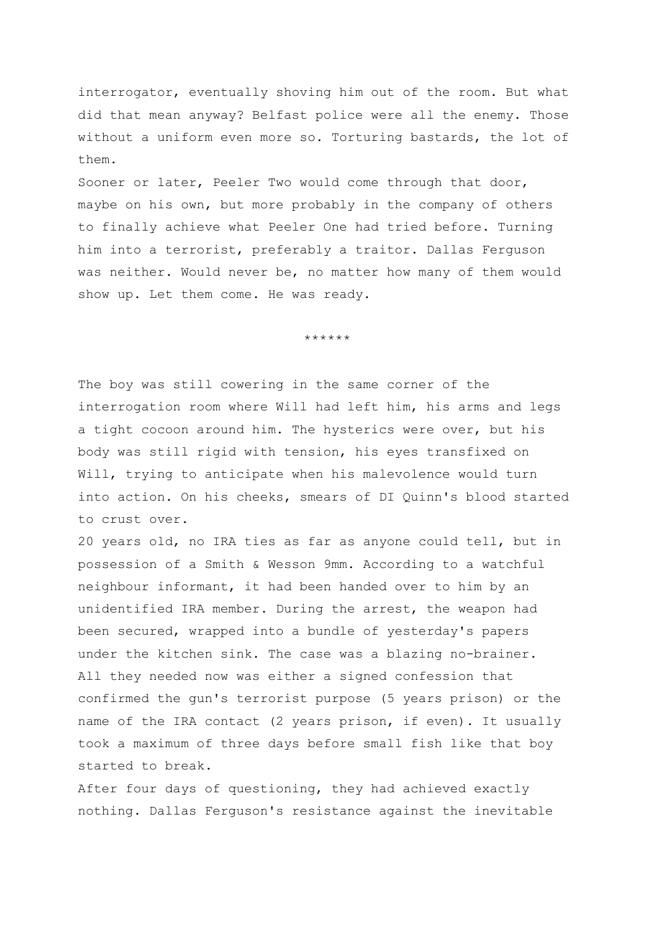interrogator, eventually shoving him out of the room. But what did that mean anyway? Belfast police were all the enemy. Those without a uniform even more so. Torturing bastards, the lot of them.

Sooner or later, Peeler Two would come through that door, maybe on his own, but more probably in the company of others to finally achieve what Peeler One had tried before. Turning him into a terrorist, preferably a traitor. Dallas Ferguson was neither. Would never be, no matter how many of them would show up. Let them come. He was ready.

\*\*\*\*\*\*

The boy was still cowering in the same corner of the interrogation room where Will had left him, his arms and legs a tight cocoon around him. The hysterics were over, but his body was still rigid with tension, his eyes transfixed on Will, trying to anticipate when his malevolence would turn into action. On his cheeks, smears of DI Quinn's blood started to crust over.

20 years old, no IRA ties as far as anyone could tell, but in possession of a Smith & Wesson 9mm. According to a watchful neighbour informant, it had been handed over to him by an unidentified IRA member. During the arrest, the weapon had been secured, wrapped into a bundle of yesterday's papers under the kitchen sink. The case was a blazing no-brainer. All they needed now was either a signed confession that confirmed the gun's terrorist purpose (5 years prison) or the name of the IRA contact (2 years prison, if even). It usually took a maximum of three days before small fish like that boy started to break.

After four days of questioning, they had achieved exactly nothing. Dallas Ferguson's resistance against the inevitable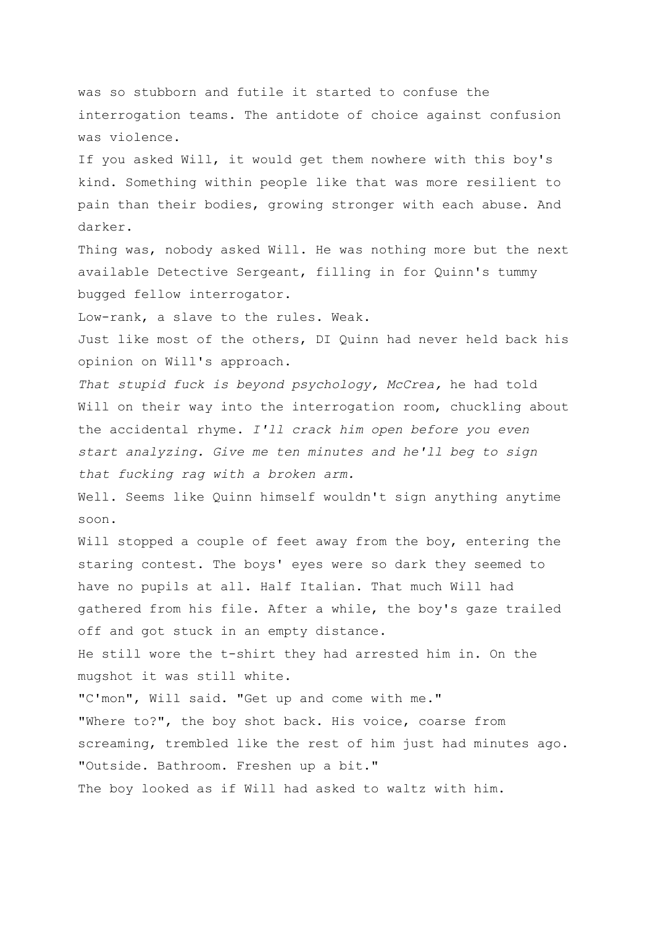was so stubborn and futile it started to confuse the interrogation teams. The antidote of choice against confusion was violence.

If you asked Will, it would get them nowhere with this boy's kind. Something within people like that was more resilient to pain than their bodies, growing stronger with each abuse. And darker.

Thing was, nobody asked Will. He was nothing more but the next available Detective Sergeant, filling in for Quinn's tummy bugged fellow interrogator.

Low-rank, a slave to the rules. Weak.

Just like most of the others, DI Quinn had never held back his opinion on Will's approach.

*That stupid fuck is beyond psychology, McCrea,* he had told Will on their way into the interrogation room, chuckling about the accidental rhyme. *I'll crack him open before you even start analyzing. Give me ten minutes and he'll beg to sign that fucking rag with a broken arm.*

Well. Seems like Quinn himself wouldn't sign anything anytime soon.

Will stopped a couple of feet away from the boy, entering the staring contest. The boys' eyes were so dark they seemed to have no pupils at all. Half Italian. That much Will had gathered from his file. After a while, the boy's gaze trailed off and got stuck in an empty distance.

He still wore the t-shirt they had arrested him in. On the mugshot it was still white.

"C'mon", Will said. "Get up and come with me." "Where to?", the boy shot back. His voice, coarse from screaming, trembled like the rest of him just had minutes ago. "Outside. Bathroom. Freshen up a bit." The boy looked as if Will had asked to waltz with him.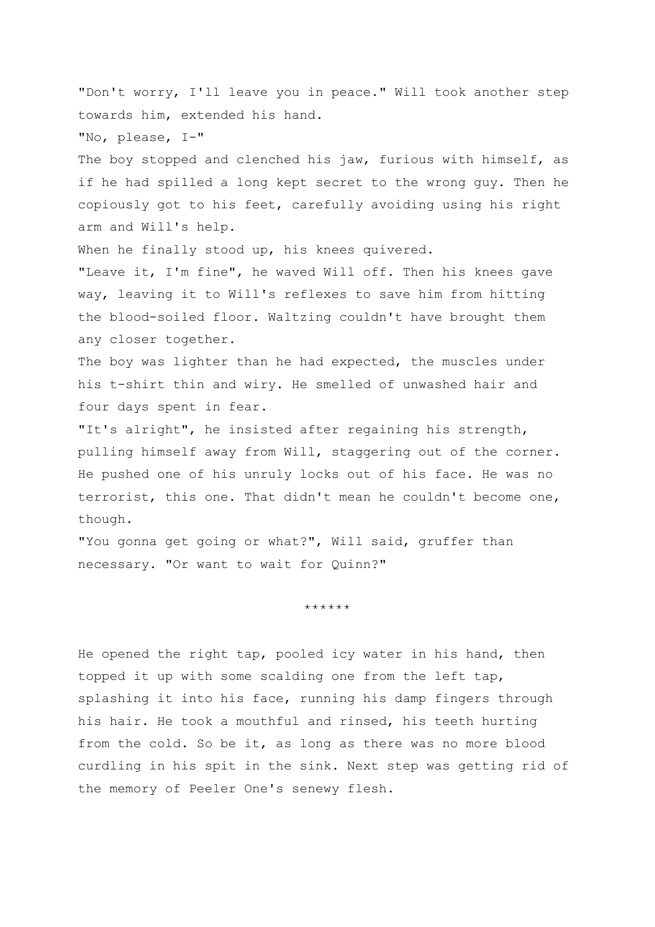"Don't worry, I'll leave you in peace." Will took another step towards him, extended his hand.

"No, please, I-"

The boy stopped and clenched his jaw, furious with himself, as if he had spilled a long kept secret to the wrong guy. Then he copiously got to his feet, carefully avoiding using his right arm and Will's help.

When he finally stood up, his knees quivered.

"Leave it, I'm fine", he waved Will off. Then his knees gave way, leaving it to Will's reflexes to save him from hitting the blood-soiled floor. Waltzing couldn't have brought them any closer together.

The boy was lighter than he had expected, the muscles under his t-shirt thin and wiry. He smelled of unwashed hair and four days spent in fear.

"It's alright", he insisted after regaining his strength, pulling himself away from Will, staggering out of the corner. He pushed one of his unruly locks out of his face. He was no terrorist, this one. That didn't mean he couldn't become one, though.

"You gonna get going or what?", Will said, gruffer than necessary. "Or want to wait for Quinn?"

\*\*\*\*\*\*

He opened the right tap, pooled icy water in his hand, then topped it up with some scalding one from the left tap, splashing it into his face, running his damp fingers through his hair. He took a mouthful and rinsed, his teeth hurting from the cold. So be it, as long as there was no more blood curdling in his spit in the sink. Next step was getting rid of the memory of Peeler One's senewy flesh.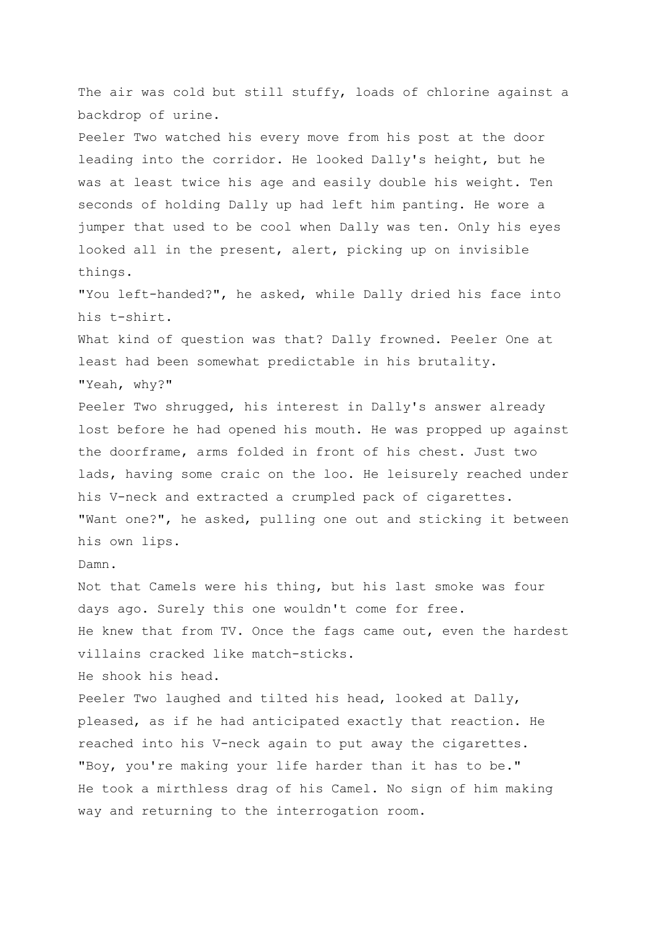The air was cold but still stuffy, loads of chlorine against a backdrop of urine. Peeler Two watched his every move from his post at the door leading into the corridor. He looked Dally's height, but he was at least twice his age and easily double his weight. Ten seconds of holding Dally up had left him panting. He wore a jumper that used to be cool when Dally was ten. Only his eyes looked all in the present, alert, picking up on invisible things. "You left-handed?", he asked, while Dally dried his face into his t-shirt. What kind of question was that? Dally frowned. Peeler One at least had been somewhat predictable in his brutality. "Yeah, why?" Peeler Two shrugged, his interest in Dally's answer already lost before he had opened his mouth. He was propped up against the doorframe, arms folded in front of his chest. Just two lads, having some craic on the loo. He leisurely reached under his V-neck and extracted a crumpled pack of cigarettes. "Want one?", he asked, pulling one out and sticking it between his own lips. Damn. Not that Camels were his thing, but his last smoke was four days ago. Surely this one wouldn't come for free. He knew that from TV. Once the fags came out, even the hardest villains cracked like match-sticks. He shook his head. Peeler Two laughed and tilted his head, looked at Dally, pleased, as if he had anticipated exactly that reaction. He reached into his V-neck again to put away the cigarettes. "Boy, you're making your life harder than it has to be." He took a mirthless drag of his Camel. No sign of him making way and returning to the interrogation room.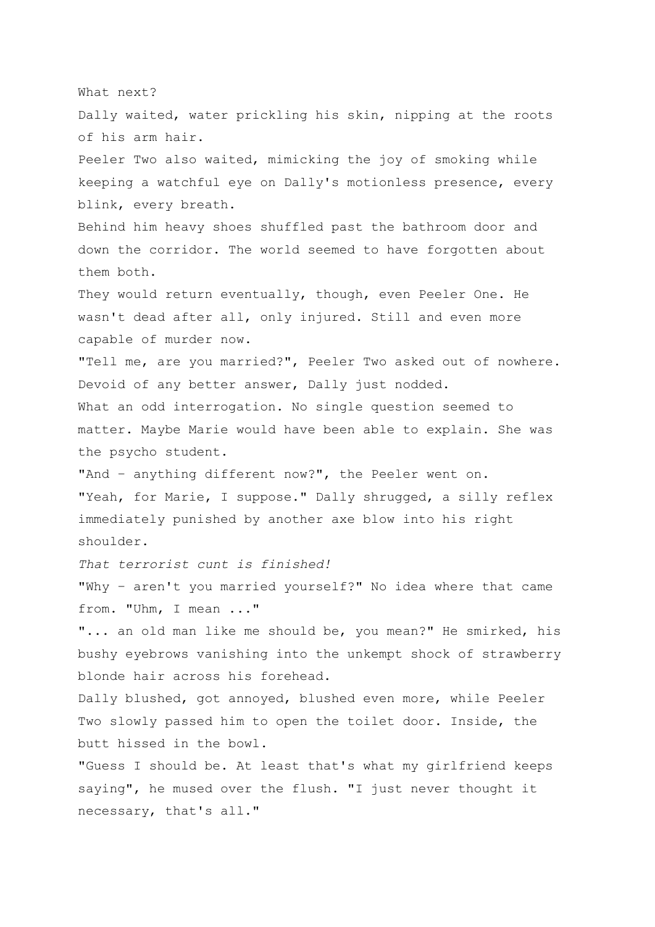What next?

Dally waited, water prickling his skin, nipping at the roots of his arm hair.

Peeler Two also waited, mimicking the joy of smoking while keeping a watchful eye on Dally's motionless presence, every blink, every breath.

Behind him heavy shoes shuffled past the bathroom door and down the corridor. The world seemed to have forgotten about them both.

They would return eventually, though, even Peeler One. He wasn't dead after all, only injured. Still and even more capable of murder now.

"Tell me, are you married?", Peeler Two asked out of nowhere. Devoid of any better answer, Dally just nodded. What an odd interrogation. No single question seemed to matter. Maybe Marie would have been able to explain. She was the psycho student.

"And – anything different now?", the Peeler went on. "Yeah, for Marie, I suppose." Dally shrugged, a silly reflex immediately punished by another axe blow into his right shoulder.

*That terrorist cunt is finished!* 

"Why – aren't you married yourself?" No idea where that came from. "Uhm, I mean ..."

"... an old man like me should be, you mean?" He smirked, his bushy eyebrows vanishing into the unkempt shock of strawberry blonde hair across his forehead.

Dally blushed, got annoyed, blushed even more, while Peeler Two slowly passed him to open the toilet door. Inside, the butt hissed in the bowl.

"Guess I should be. At least that's what my girlfriend keeps saying", he mused over the flush. "I just never thought it necessary, that's all."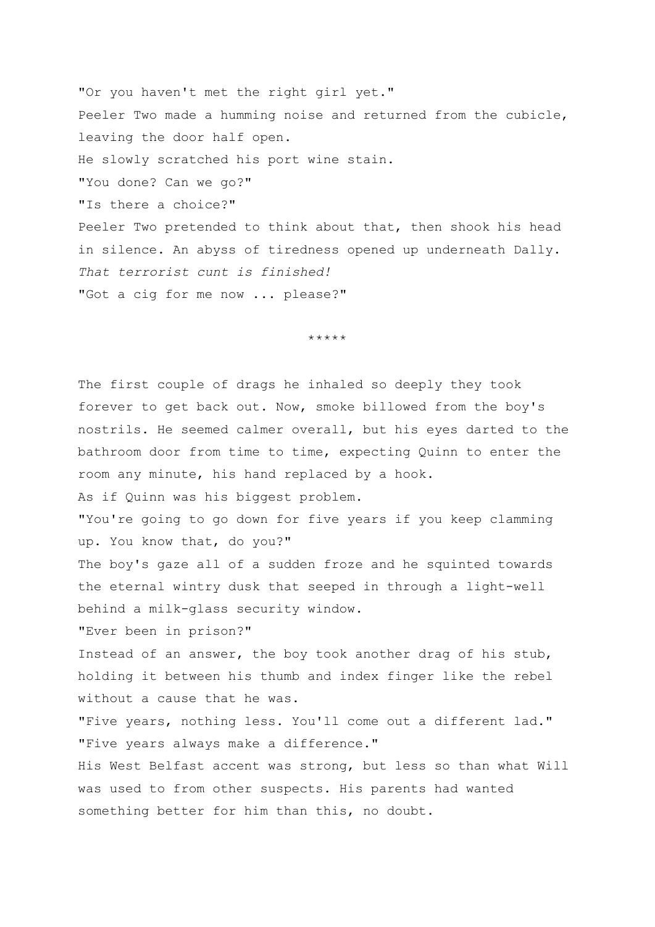"Or you haven't met the right girl yet." Peeler Two made a humming noise and returned from the cubicle, leaving the door half open. He slowly scratched his port wine stain. "You done? Can we go?" "Is there a choice?" Peeler Two pretended to think about that, then shook his head in silence. An abyss of tiredness opened up underneath Dally. *That terrorist cunt is finished!* "Got a cig for me now ... please?"

\*\*\*\*\*

The first couple of drags he inhaled so deeply they took forever to get back out. Now, smoke billowed from the boy's nostrils. He seemed calmer overall, but his eyes darted to the bathroom door from time to time, expecting Quinn to enter the room any minute, his hand replaced by a hook. As if Quinn was his biggest problem. "You're going to go down for five years if you keep clamming up. You know that, do you?" The boy's gaze all of a sudden froze and he squinted towards the eternal wintry dusk that seeped in through a light-well behind a milk-glass security window. "Ever been in prison?" Instead of an answer, the boy took another drag of his stub, holding it between his thumb and index finger like the rebel without a cause that he was. "Five years, nothing less. You'll come out a different lad." "Five years always make a difference." His West Belfast accent was strong, but less so than what Will was used to from other suspects. His parents had wanted something better for him than this, no doubt.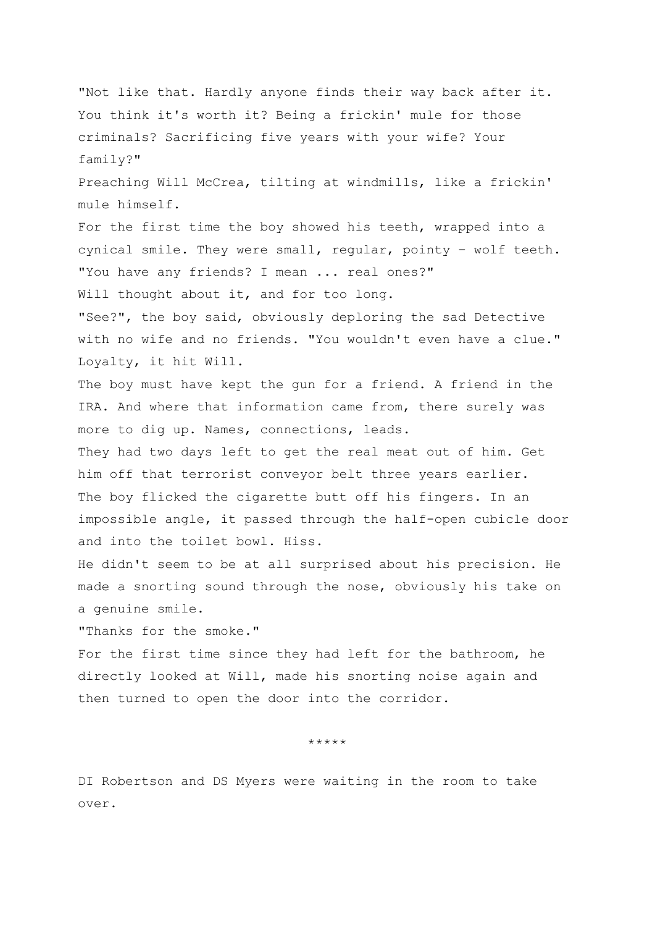"Not like that. Hardly anyone finds their way back after it. You think it's worth it? Being a frickin' mule for those criminals? Sacrificing five years with your wife? Your family?" Preaching Will McCrea, tilting at windmills, like a frickin' mule himself. For the first time the boy showed his teeth, wrapped into a cynical smile. They were small, regular, pointy – wolf teeth. "You have any friends? I mean ... real ones?" Will thought about it, and for too long. "See?", the boy said, obviously deploring the sad Detective with no wife and no friends. "You wouldn't even have a clue." Loyalty, it hit Will. The boy must have kept the qun for a friend. A friend in the IRA. And where that information came from, there surely was more to dig up. Names, connections, leads. They had two days left to get the real meat out of him. Get him off that terrorist conveyor belt three years earlier. The boy flicked the cigarette butt off his fingers. In an impossible angle, it passed through the half-open cubicle door and into the toilet bowl. Hiss. He didn't seem to be at all surprised about his precision. He made a snorting sound through the nose, obviously his take on a genuine smile. "Thanks for the smoke." For the first time since they had left for the bathroom, he directly looked at Will, made his snorting noise again and then turned to open the door into the corridor.

\*\*\*\*\*

DI Robertson and DS Myers were waiting in the room to take over.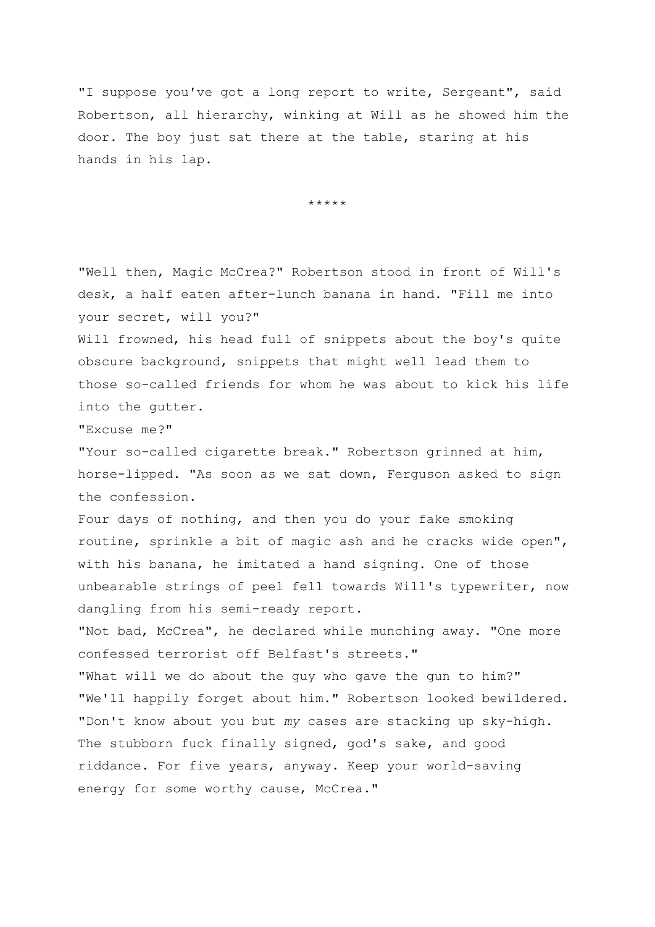"I suppose you've got a long report to write, Sergeant", said Robertson, all hierarchy, winking at Will as he showed him the door. The boy just sat there at the table, staring at his hands in his lap.

\*\*\*\*\*

"Well then, Magic McCrea?" Robertson stood in front of Will's desk, a half eaten after-lunch banana in hand. "Fill me into your secret, will you?"

Will frowned, his head full of snippets about the boy's quite obscure background, snippets that might well lead them to those so-called friends for whom he was about to kick his life into the gutter.

"Excuse me?"

"Your so-called cigarette break." Robertson grinned at him, horse-lipped. "As soon as we sat down, Ferguson asked to sign the confession.

Four days of nothing, and then you do your fake smoking routine, sprinkle a bit of magic ash and he cracks wide open", with his banana, he imitated a hand signing. One of those unbearable strings of peel fell towards Will's typewriter, now dangling from his semi-ready report.

"Not bad, McCrea", he declared while munching away. "One more confessed terrorist off Belfast's streets."

"What will we do about the guy who gave the gun to him?" "We'll happily forget about him." Robertson looked bewildered. "Don't know about you but *my* cases are stacking up sky-high. The stubborn fuck finally signed, god's sake, and good riddance. For five years, anyway. Keep your world-saving energy for some worthy cause, McCrea."